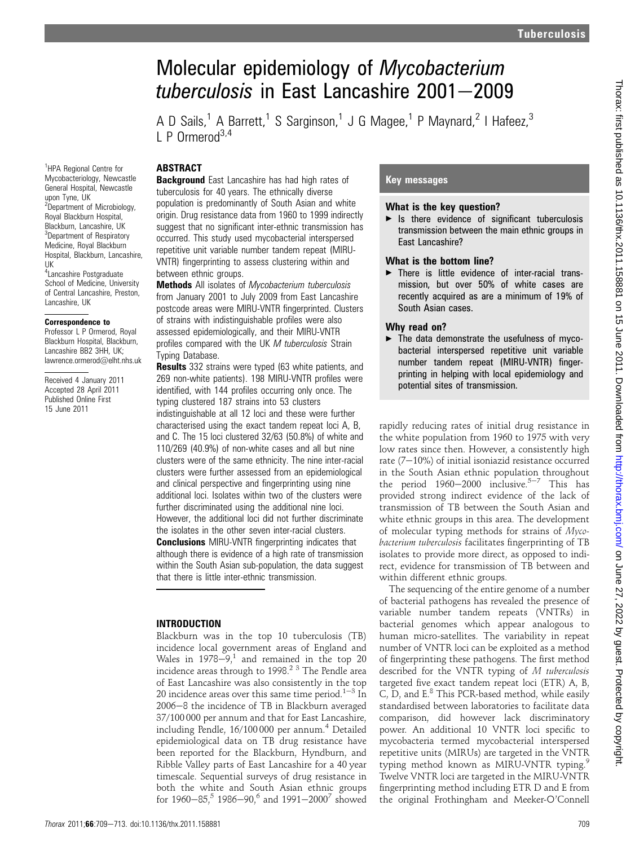# Molecular epidemiology of Mycobacterium tuberculosis in East Lancashire  $2001 - 2009$

A D Sails,<sup>1</sup> A Barrett,<sup>1</sup> S Sarginson,<sup>1</sup> J G Magee,<sup>1</sup> P Maynard,<sup>2</sup> I Hafeez,<sup>3</sup>  $\Gamma$  P Ormerod<sup>3,4</sup>

## **ABSTRACT**

<sup>1</sup>HPA Regional Centre for Mycobacteriology, Newcastle General Hospital, Newcastle

<sup>2</sup>Department of Microbiology, Royal Blackburn Hospital, Blackburn, Lancashire, UK <sup>3</sup>Department of Respiratory Medicine, Royal Blackburn Hospital, Blackburn, Lancashire,

4 Lancashire Postgraduate School of Medicine, University of Central Lancashire, Preston,

Received 4 January 2011 Accepted 28 April 2011 Published Online First 15 June 2011

upon Tyne, UK

Lancashire, UK Correspondence to Professor L P Ormerod, Royal Blackburn Hospital, Blackburn, Lancashire BB2 3HH, UK; lawrence.ormerod@elht.nhs.uk

UK

**Background** East Lancashire has had high rates of tuberculosis for 40 years. The ethnically diverse population is predominantly of South Asian and white origin. Drug resistance data from 1960 to 1999 indirectly suggest that no significant inter-ethnic transmission has occurred. This study used mycobacterial interspersed repetitive unit variable number tandem repeat (MIRU-VNTR) fingerprinting to assess clustering within and between ethnic groups.

**Methods** All isolates of Mycobacterium tuberculosis from January 2001 to July 2009 from East Lancashire postcode areas were MIRU-VNTR fingerprinted. Clusters of strains with indistinguishable profiles were also assessed epidemiologically, and their MIRU-VNTR profiles compared with the UK M tuberculosis Strain Typing Database.

**Results** 332 strains were typed (63 white patients, and 269 non-white patients). 198 MIRU-VNTR profiles were identified, with 144 profiles occurring only once. The typing clustered 187 strains into 53 clusters indistinguishable at all 12 loci and these were further characterised using the exact tandem repeat loci A, B, and C. The 15 loci clustered 32/63 (50.8%) of white and 110/269 (40.9%) of non-white cases and all but nine clusters were of the same ethnicity. The nine inter-racial clusters were further assessed from an epidemiological and clinical perspective and fingerprinting using nine additional loci. Isolates within two of the clusters were further discriminated using the additional nine loci. However, the additional loci did not further discriminate the isolates in the other seven inter-racial clusters.

**Conclusions** MIRU-VNTR fingerprinting indicates that although there is evidence of a high rate of transmission within the South Asian sub-population, the data suggest that there is little inter-ethnic transmission.

### INTRODUCTION

Blackburn was in the top 10 tuberculosis (TB) incidence local government areas of England and Wales in  $1978-9$ ,<sup>1</sup> and remained in the top 20 incidence areas through to 1998.2 3 The Pendle area of East Lancashire was also consistently in the top 20 incidence areas over this same time period.<sup>1-3</sup> In 2006-8 the incidence of TB in Blackburn averaged 37/100 000 per annum and that for East Lancashire, including Pendle, 16/100000 per annum.<sup>4</sup> Detailed epidemiological data on TB drug resistance have been reported for the Blackburn, Hyndburn, and Ribble Valley parts of East Lancashire for a 40 year timescale. Sequential surveys of drug resistance in both the white and South Asian ethnic groups for  $1960-85$ ,<sup>5</sup> 1986-90,<sup>6</sup> and  $1991-2000^7$  showed

## Key messages

#### What is the key question?

 $\blacktriangleright$  Is there evidence of significant tuberculosis transmission between the main ethnic groups in East Lancashire?

#### What is the bottom line?

 $\blacktriangleright$  There is little evidence of inter-racial transmission, but over 50% of white cases are recently acquired as are a minimum of 19% of South Asian cases.

### Why read on?

 $\blacktriangleright$  The data demonstrate the usefulness of mycobacterial interspersed repetitive unit variable number tandem repeat (MIRU-VNTR) fingerprinting in helping with local epidemiology and potential sites of transmission.

rapidly reducing rates of initial drug resistance in the white population from 1960 to 1975 with very low rates since then. However, a consistently high rate  $(7-10%)$  of initial isoniazid resistance occurred in the South Asian ethnic population throughout the period  $1960-2000$  inclusive.<sup>5-7</sup> This has provided strong indirect evidence of the lack of transmission of TB between the South Asian and white ethnic groups in this area. The development of molecular typing methods for strains of Mycobacterium tuberculosis facilitates fingerprinting of TB isolates to provide more direct, as opposed to indirect, evidence for transmission of TB between and within different ethnic groups.

The sequencing of the entire genome of a number of bacterial pathogens has revealed the presence of variable number tandem repeats (VNTRs) in bacterial genomes which appear analogous to human micro-satellites. The variability in repeat number of VNTR loci can be exploited as a method of fingerprinting these pathogens. The first method described for the VNTR typing of M tuberculosis targeted five exact tandem repeat loci (ETR) A, B, C, D, and  $E^8$  This PCR-based method, while easily standardised between laboratories to facilitate data comparison, did however lack discriminatory power. An additional 10 VNTR loci specific to mycobacteria termed mycobacterial interspersed repetitive units (MIRUs) are targeted in the VNTR typing method known as MIRU-VNTR typing.<sup>9</sup> Twelve VNTR loci are targeted in the MIRU-VNTR fingerprinting method including ETR D and E from the original Frothingham and Meeker-O'Connell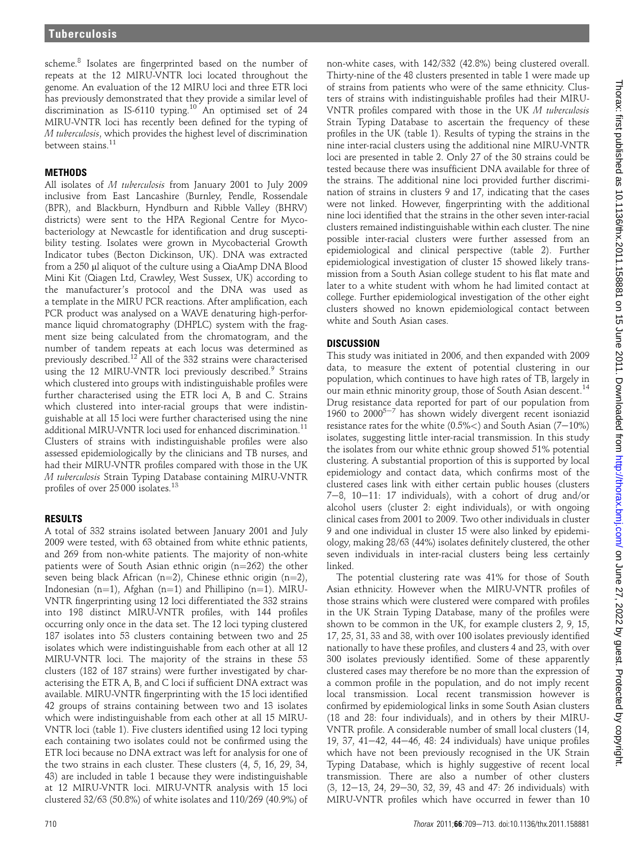scheme.<sup>8</sup> Isolates are fingerprinted based on the number of repeats at the 12 MIRU-VNTR loci located throughout the genome. An evaluation of the 12 MIRU loci and three ETR loci has previously demonstrated that they provide a similar level of discrimination as IS-6110 typing.<sup>10</sup> An optimised set of 24 MIRU-VNTR loci has recently been defined for the typing of M tuberculosis, which provides the highest level of discrimination between stains.<sup>11</sup>

## **METHODS**

All isolates of M tuberculosis from January 2001 to July 2009 inclusive from East Lancashire (Burnley, Pendle, Rossendale (BPR), and Blackburn, Hyndburn and Ribble Valley (BHRV) districts) were sent to the HPA Regional Centre for Mycobacteriology at Newcastle for identification and drug susceptibility testing. Isolates were grown in Mycobacterial Growth Indicator tubes (Becton Dickinson, UK). DNA was extracted from a 250 µl aliquot of the culture using a QiaAmp DNA Blood Mini Kit (Qiagen Ltd, Crawley, West Sussex, UK) according to the manufacturer's protocol and the DNA was used as a template in the MIRU PCR reactions. After amplification, each PCR product was analysed on a WAVE denaturing high-performance liquid chromatography (DHPLC) system with the fragment size being calculated from the chromatogram, and the number of tandem repeats at each locus was determined as previously described.<sup>12</sup> All of the 332 strains were characterised using the 12 MIRU-VNTR loci previously described.<sup>9</sup> Strains which clustered into groups with indistinguishable profiles were further characterised using the ETR loci A, B and C. Strains which clustered into inter-racial groups that were indistinguishable at all 15 loci were further characterised using the nine additional MIRU-VNTR loci used for enhanced discrimination.<sup>11</sup> Clusters of strains with indistinguishable profiles were also assessed epidemiologically by the clinicians and TB nurses, and had their MIRU-VNTR profiles compared with those in the UK M tuberculosis Strain Typing Database containing MIRU-VNTR profiles of over 25 000 isolates.<sup>13</sup>

## RESULTS

A total of 332 strains isolated between January 2001 and July 2009 were tested, with 63 obtained from white ethnic patients, and 269 from non-white patients. The majority of non-white patients were of South Asian ethnic origin  $(n=262)$  the other seven being black African (n=2), Chinese ethnic origin (n=2), Indonesian (n=1), Afghan (n=1) and Phillipino (n=1). MIRU-VNTR fingerprinting using 12 loci differentiated the 332 strains into 198 distinct MIRU-VNTR profiles, with 144 profiles occurring only once in the data set. The 12 loci typing clustered 187 isolates into 53 clusters containing between two and 25 isolates which were indistinguishable from each other at all 12 MIRU-VNTR loci. The majority of the strains in these 53 clusters (182 of 187 strains) were further investigated by characterising the ETR A, B, and C loci if sufficient DNA extract was available. MIRU-VNTR fingerprinting with the 15 loci identified 42 groups of strains containing between two and 13 isolates which were indistinguishable from each other at all 15 MIRU-VNTR loci (table 1). Five clusters identified using 12 loci typing each containing two isolates could not be confirmed using the ETR loci because no DNA extract was left for analysis for one of the two strains in each cluster. These clusters (4, 5, 16, 29, 34, 43) are included in table 1 because they were indistinguishable at 12 MIRU-VNTR loci. MIRU-VNTR analysis with 15 loci clustered 32/63 (50.8%) of white isolates and 110/269 (40.9%) of

non-white cases, with 142/332 (42.8%) being clustered overall. Thirty-nine of the 48 clusters presented in table 1 were made up of strains from patients who were of the same ethnicity. Clusters of strains with indistinguishable profiles had their MIRU-VNTR profiles compared with those in the UK M tuberculosis Strain Typing Database to ascertain the frequency of these profiles in the UK (table 1). Results of typing the strains in the nine inter-racial clusters using the additional nine MIRU-VNTR loci are presented in table 2. Only 27 of the 30 strains could be tested because there was insufficient DNA available for three of the strains. The additional nine loci provided further discrimination of strains in clusters 9 and 17, indicating that the cases were not linked. However, fingerprinting with the additional nine loci identified that the strains in the other seven inter-racial clusters remained indistinguishable within each cluster. The nine possible inter-racial clusters were further assessed from an epidemiological and clinical perspective (table 2). Further epidemiological investigation of cluster 15 showed likely transmission from a South Asian college student to his flat mate and later to a white student with whom he had limited contact at college. Further epidemiological investigation of the other eight clusters showed no known epidemiological contact between white and South Asian cases.

## **DISCUSSION**

This study was initiated in 2006, and then expanded with 2009 data, to measure the extent of potential clustering in our population, which continues to have high rates of TB, largely in our main ethnic minority group, those of South Asian descent.<sup>14</sup> Drug resistance data reported for part of our population from 1960 to 2000<sup>5-7</sup> has shown widely divergent recent isoniazid resistance rates for the white  $(0.5\%<)$  and South Asian  $(7-10\%)$ isolates, suggesting little inter-racial transmission. In this study the isolates from our white ethnic group showed 51% potential clustering. A substantial proportion of this is supported by local epidemiology and contact data, which confirms most of the clustered cases link with either certain public houses (clusters 7-8, 10-11: 17 individuals), with a cohort of drug and/or alcohol users (cluster 2: eight individuals), or with ongoing clinical cases from 2001 to 2009. Two other individuals in cluster 9 and one individual in cluster 15 were also linked by epidemiology, making 28/63 (44%) isolates definitely clustered, the other seven individuals in inter-racial clusters being less certainly linked.

The potential clustering rate was 41% for those of South Asian ethnicity. However when the MIRU-VNTR profiles of those strains which were clustered were compared with profiles in the UK Strain Typing Database, many of the profiles were shown to be common in the UK, for example clusters 2, 9, 15, 17, 25, 31, 33 and 38, with over 100 isolates previously identified nationally to have these profiles, and clusters 4 and 23, with over 300 isolates previously identified. Some of these apparently clustered cases may therefore be no more than the expression of a common profile in the population, and do not imply recent local transmission. Local recent transmission however is confirmed by epidemiological links in some South Asian clusters (18 and 28: four individuals), and in others by their MIRU-VNTR profile. A considerable number of small local clusters (14, 19, 37, 41 $-42$ , 44 $-46$ , 48: 24 individuals) have unique profiles which have not been previously recognised in the UK Strain Typing Database, which is highly suggestive of recent local transmission. There are also a number of other clusters  $(3, 12-13, 24, 29-30, 32, 39, 43, and 47: 26, individuals) with$ MIRU-VNTR profiles which have occurred in fewer than 10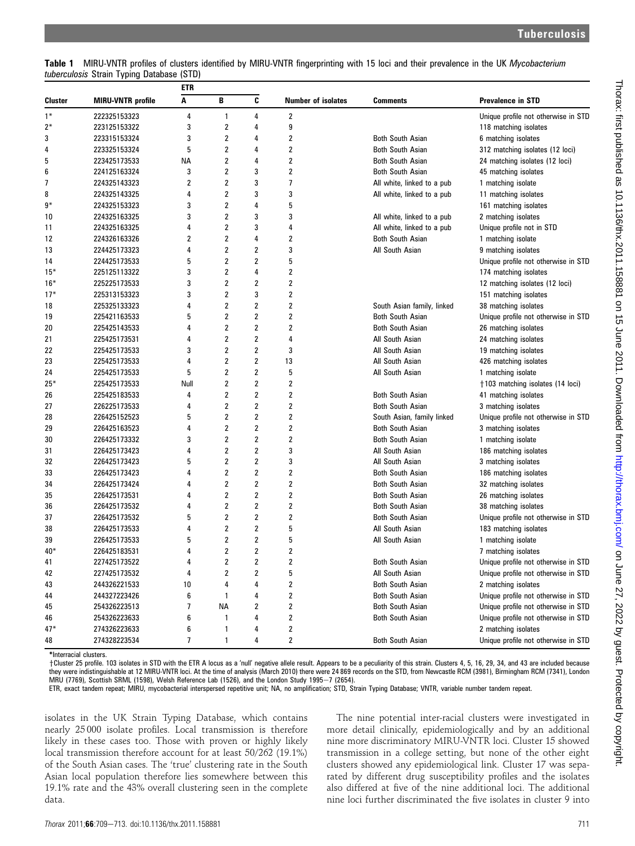| Table 1 MIRU-VNTR profiles of clusters identified by MIRU-VNTR fingerprinting with 15 loci and their prevalence in the UK Mycobacterium |  |  |  |  |  |  |
|-----------------------------------------------------------------------------------------------------------------------------------------|--|--|--|--|--|--|
| <i>tuberculosis Strain Typing Database (STD)</i>                                                                                        |  |  |  |  |  |  |

|         |                          | etr            |                         |                         |                    |                            |                                     |
|---------|--------------------------|----------------|-------------------------|-------------------------|--------------------|----------------------------|-------------------------------------|
| Cluster | <b>MIRU-VNTR</b> profile | Α              | B                       | C                       | Number of isolates | <b>Comments</b>            | Prevalence in STD                   |
| $1*$    | 222325153323             | 4              | 1                       | 4                       | 2                  |                            | Unique profile not otherwise in STD |
| $2*$    | 223125153322             | 3              | 2                       | 4                       | 9                  |                            | 118 matching isolates               |
| 3       | 223315153324             | 3              | 2                       | 4                       | 2                  | <b>Both South Asian</b>    | 6 matching isolates                 |
| 4       | 223325153324             | 5              | 2                       | 4                       | 2                  | <b>Both South Asian</b>    | 312 matching isolates (12 loci)     |
| 5       | 223425173533             | NА             | 2                       | 4                       | 2                  | <b>Both South Asian</b>    | 24 matching isolates (12 loci)      |
| 6       | 224125163324             | 3              | 2                       | 3                       | 2                  | <b>Both South Asian</b>    | 45 matching isolates                |
| 7       | 224325143323             | 2              | 2                       | 3                       | 7                  | All white, linked to a pub | 1 matching isolate                  |
| 8       | 224325143325             | 4              | 2                       | 3                       | 3                  | All white, linked to a pub | 11 matching isolates                |
| 9*      | 224325153323             | 3              | 2                       | 4                       | 5                  |                            | 161 matching isolates               |
| 10      | 224325163325             | 3              | $\overline{2}$          | 3                       | 3                  | All white, linked to a pub | 2 matching isolates                 |
| 11      | 224325163325             | 4              | 2                       | 3                       | 4                  | All white, linked to a pub | Unique profile not in STD           |
| 12      | 224326163326             | $\overline{2}$ | 2                       | 4                       | 2                  | <b>Both South Asian</b>    | 1 matching isolate                  |
| 13      | 224425173323             | 4              | 2                       | 2                       | 3                  | All South Asian            | 9 matching isolates                 |
| 14      | 224425173533             | 5              | 2                       | 2                       | 5                  |                            | Unique profile not otherwise in STD |
| $15*$   | 225125113322             | 3              | 2                       | 4                       | 2                  |                            | 174 matching isolates               |
| $16*$   | 225225173533             | 3              | 2                       | 2                       | 2                  |                            | 12 matching isolates (12 loci)      |
| $17*$   | 225313153323             | 3              | 2                       | 3                       | 2                  |                            | 151 matching isolates               |
| 18      | 225325133323             | 4              | 2                       | 2                       | 2                  | South Asian family, linked | 38 matching isolates                |
| 19      | 225421163533             | 5              | 2                       | 2                       | 2                  | <b>Both South Asian</b>    | Unique profile not otherwise in STD |
| 20      | 225425143533             | 4              | 2                       | 2                       | 2                  | <b>Both South Asian</b>    | 26 matching isolates                |
| 21      | 225425173531             | 4              | 2                       | $\overline{\mathbf{2}}$ | 4                  | All South Asian            | 24 matching isolates                |
| 22      | 225425173533             | 3              | 2                       | 2                       | 3                  | All South Asian            | 19 matching isolates                |
| 23      | 225425173533             | 4              | 2                       | 2                       | 13                 | All South Asian            | 426 matching isolates               |
| 24      | 225425173533             | 5              | 2                       | 2                       | 5                  | All South Asian            | 1 matching isolate                  |
| $25*$   | 225425173533             | Null           | 2                       | $\overline{\mathbf{2}}$ | 2                  |                            | †103 matching isolates (14 loci)    |
| 26      | 225425183533             | 4              | 2                       | 2                       | 2                  | <b>Both South Asian</b>    | 41 matching isolates                |
| 27      | 226225173533             | 4              | 2                       | 2                       | 2                  | <b>Both South Asian</b>    | 3 matching isolates                 |
| 28      | 226425152523             | 5              | 2                       | 2                       | 2                  | South Asian, family linked | Unique profile not otherwise in STD |
| 29      | 226425163523             | 4              | 2                       | $\overline{\mathbf{2}}$ | 2                  | <b>Both South Asian</b>    | 3 matching isolates                 |
| 30      | 226425173332             | 3              | 2                       | 2                       | 2                  | <b>Both South Asian</b>    | 1 matching isolate                  |
| 31      | 226425173423             | 4              | 2                       | 2                       | 3                  | All South Asian            | 186 matching isolates               |
| 32      | 226425173423             | 5              | 2                       | 2                       | 3                  | All South Asian            | 3 matching isolates                 |
| 33      | 226425173423             | 4              | $\overline{\mathbf{c}}$ | $\mathbf 2$             | 2                  | <b>Both South Asian</b>    | 186 matching isolates               |
| 34      | 226425173424             | 4              | 2                       | 2                       | 2                  | <b>Both South Asian</b>    | 32 matching isolates                |
| 35      | 226425173531             | 4              | 2                       | 2                       | 2                  | <b>Both South Asian</b>    | 26 matching isolates                |
| 36      | 226425173532             | 4              | 2                       | 2                       | 2                  | <b>Both South Asian</b>    | 38 matching isolates                |
| 37      | 226425173532             | 5              | 2                       | $\boldsymbol{2}$        | 2                  | <b>Both South Asian</b>    | Unique profile not otherwise in STD |
| 38      | 226425173533             | 4              | 2                       | 2                       | 5                  | All South Asian            | 183 matching isolates               |
| 39      | 226425173533             | 5              | 2                       | 2                       | 5                  | All South Asian            | 1 matching isolate                  |
| $40*$   | 226425183531             | 4              | 2                       | 2                       | 2                  |                            | 7 matching isolates                 |
| 41      | 227425173522             |                | 2                       | 2                       | 2                  | Both South Asian           | Unique profile not otherwise in STD |
| 42      | 227425173532             | 4              | 2                       | 2                       | 5                  | All South Asian            | Unique profile not otherwise in STD |
| 43      | 244326221533             | 10             | 4                       | 4                       | 2                  | <b>Both South Asian</b>    | 2 matching isolates                 |
| 44      | 244327223426             | 6              | $\mathbf{1}$            | 4                       | 2                  | Both South Asian           | Unique profile not otherwise in STD |
| 45      | 254326223513             | 7              | ΝA                      | 2                       | 2                  | <b>Both South Asian</b>    | Unique profile not otherwise in STD |
| 46      | 254326223633             | 6              | 1                       | 4                       | 2                  | <b>Both South Asian</b>    | Unique profile not otherwise in STD |
| $47*$   | 274326223633             | 6              | 1                       | 4                       | 2                  |                            | 2 matching isolates                 |
| 48      | 274328223534             | 7              | 1                       | 4                       | 2                  | <b>Both South Asian</b>    | Unique profile not otherwise in STD |

\*Interracial clusters.

yCluster 25 profile. 103 isolates in STD with the ETR A locus as a 'null' negative allele result. Appears to be a peculiarity of this strain. Clusters 4, 5, 16, 29, 34, and 43 are included because they were indistinguishable at 12 MIRU-VNTR loci. At the time of analysis (March 2010) there were 24 869 records on the STD, from Newcastle RCM (3981), Birmingham RCM (7341), London MRU (7769), Scottish SRML (1598), Welsh Reference Lab (1526), and the London Study 1995 $-7$  (2654).

ETR, exact tandem repeat; MIRU, mycobacterial interspersed repetitive unit; NA, no amplification; STD, Strain Typing Database; VNTR, variable number tandem repeat.

isolates in the UK Strain Typing Database, which contains nearly 25 000 isolate profiles. Local transmission is therefore likely in these cases too. Those with proven or highly likely local transmission therefore account for at least 50/262 (19.1%) of the South Asian cases. The 'true' clustering rate in the South Asian local population therefore lies somewhere between this 19.1% rate and the 43% overall clustering seen in the complete data.

The nine potential inter-racial clusters were investigated in more detail clinically, epidemiologically and by an additional nine more discriminatory MIRU-VNTR loci. Cluster 15 showed transmission in a college setting, but none of the other eight clusters showed any epidemiological link. Cluster 17 was separated by different drug susceptibility profiles and the isolates also differed at five of the nine additional loci. The additional nine loci further discriminated the five isolates in cluster 9 into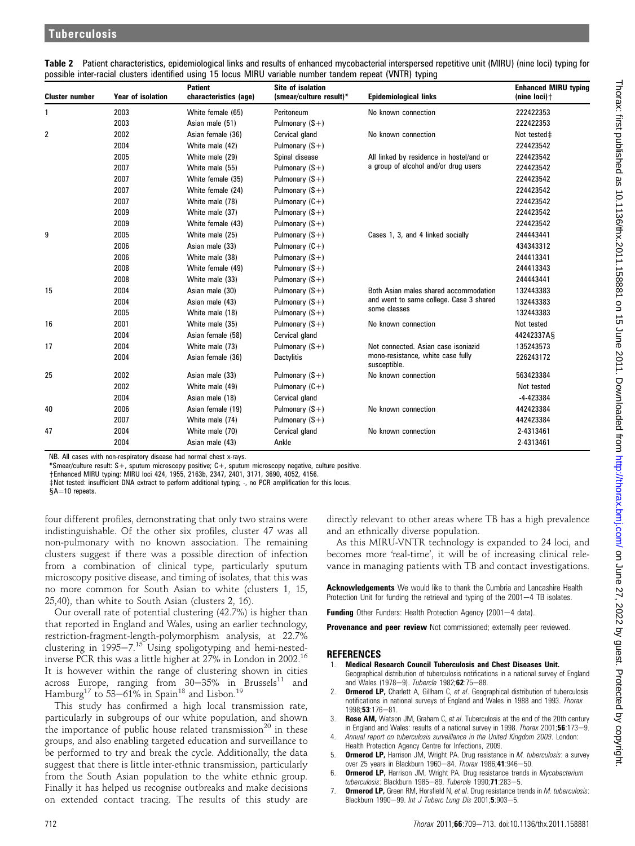| <b>Cluster number</b> | <b>Year of isolation</b> | <b>Patient</b><br>characteristics (age) | <b>Site of isolation</b><br>(smear/culture result)* | <b>Epidemiological links</b>                      | <b>Enhanced MIRU typing</b><br>(nine $loci$ ) $\dagger$ |
|-----------------------|--------------------------|-----------------------------------------|-----------------------------------------------------|---------------------------------------------------|---------------------------------------------------------|
| 1                     | 2003                     | White female (65)                       | Peritoneum                                          | No known connection                               | 222422353                                               |
|                       | 2003                     | Asian male (51)                         | Pulmonary $(S+)$                                    |                                                   | 222422353                                               |
| 2                     | 2002                     | Asian female (36)                       | Cervical gland                                      | No known connection                               | Not tested‡                                             |
|                       | 2004                     | White male (42)                         | Pulmonary $(S+)$                                    |                                                   | 224423542                                               |
|                       | 2005                     | White male (29)                         | Spinal disease                                      | All linked by residence in hostel/and or          | 224423542                                               |
|                       | 2007                     | White male (55)                         | Pulmonary $(S+)$                                    | a group of alcohol and/or drug users              | 224423542                                               |
|                       | 2007                     | White female (35)                       | Pulmonary $(S+)$                                    |                                                   | 224423542                                               |
|                       | 2007                     | White female (24)                       | Pulmonary $(S+)$                                    |                                                   | 224423542                                               |
|                       | 2007                     | White male (78)                         | Pulmonary $(C+)$                                    |                                                   | 224423542                                               |
|                       | 2009                     | White male (37)                         | Pulmonary $(S +)$                                   |                                                   | 224423542                                               |
|                       | 2009                     | White female (43)                       | Pulmonary $(S+)$                                    |                                                   | 224423542                                               |
| 9                     | 2005                     | White male (25)                         | Pulmonary $(S +)$                                   | Cases 1, 3, and 4 linked socially                 | 244443441                                               |
|                       | 2006                     | Asian male (33)                         | Pulmonary $(C+)$                                    |                                                   | 434343312                                               |
|                       | 2006                     | White male (38)                         | Pulmonary $(S+)$                                    |                                                   | 244413341                                               |
|                       | 2008                     | White female (49)                       | Pulmonary $(S+)$                                    |                                                   | 244413343                                               |
|                       | 2008                     | White male (33)                         | Pulmonary $(S+)$                                    |                                                   | 244443441                                               |
| 15                    | 2004                     | Asian male (30)                         | Pulmonary $(S+)$                                    | Both Asian males shared accommodation             | 132443383                                               |
|                       | 2004                     | Asian male (43)                         | Pulmonary $(S+)$                                    | and went to same college. Case 3 shared           | 132443383                                               |
|                       | 2005                     | White male (18)                         | Pulmonary $(S +)$                                   | some classes                                      | 132443383                                               |
| 16                    | 2001                     | White male (35)                         | Pulmonary $(S+)$                                    | No known connection                               | Not tested                                              |
|                       | 2004                     | Asian female (58)                       | Cervical gland                                      |                                                   | 44242337AS                                              |
| 17                    | 2004                     | White male (73)                         | Pulmonary $(S+)$                                    | Not connected. Asian case isoniazid               | 135243573                                               |
|                       | 2004                     | Asian female (36)                       | <b>Dactylitis</b>                                   | mono-resistance, white case fully<br>susceptible. | 226243172                                               |
| 25                    | 2002                     | Asian male (33)                         | Pulmonary $(S+)$                                    | No known connection                               | 563423384                                               |
|                       | 2002                     | White male (49)                         | Pulmonary $(C+)$                                    |                                                   | Not tested                                              |
|                       | 2004                     | Asian male (18)                         | Cervical gland                                      |                                                   | $-4 - 423384$                                           |
| 40                    | 2006                     | Asian female (19)                       | Pulmonary $(S +)$                                   | No known connection                               | 442423384                                               |
|                       | 2007                     | White male (74)                         | Pulmonary $(S+)$                                    |                                                   | 442423384                                               |
| 47                    | 2004                     | White male (70)                         | Cervical gland                                      | No known connection                               | 2-4313461                                               |
|                       | 2004                     | Asian male (43)                         | Ankle                                               |                                                   | 2-4313461                                               |

Table 2 Patient characteristics, epidemiological links and results of enhanced mycobacterial interspersed repetitive unit (MIRU) (nine loci) typing for possible inter-racial clusters identified using 15 locus MIRU variable number tandem repeat (VNTR) typing

NB. All cases with non-respiratory disease had normal chest x-rays.

\*Smear/culture result: S+, sputum microscopy positive; C+, sputum microscopy negative, culture positive.

yEnhanced MIRU typing: MIRU loci 424, 1955, 2163b, 2347, 2401, 3171, 3690, 4052, 4156.

 $\pm$ Not tested: insufficient DNA extract to perform additional typing; -, no PCR amplification for this locus.

 $A=10$  repeats.

four different profiles, demonstrating that only two strains were indistinguishable. Of the other six profiles, cluster 47 was all non-pulmonary with no known association. The remaining clusters suggest if there was a possible direction of infection from a combination of clinical type, particularly sputum microscopy positive disease, and timing of isolates, that this was no more common for South Asian to white (clusters 1, 15, 25,40), than white to South Asian (clusters 2, 16).

Our overall rate of potential clustering (42.7%) is higher than that reported in England and Wales, using an earlier technology, restriction-fragment-length-polymorphism analysis, at 22.7% clustering in  $1995-7.15$  Using spoligotyping and hemi-nestedinverse PCR this was a little higher at 27% in London in 2002.16 It is however within the range of clustering shown in cities across Europe, ranging from 30 $-35\%$  in Brussels $^{11}$  and Hamburg $^{17}$  to 53—61% in Spain $^{18}$  and Lisbon. $^{19}$ 

This study has confirmed a high local transmission rate, particularly in subgroups of our white population, and shown the importance of public house related transmission<sup>20</sup> in these groups, and also enabling targeted education and surveillance to be performed to try and break the cycle. Additionally, the data suggest that there is little inter-ethnic transmission, particularly from the South Asian population to the white ethnic group. Finally it has helped us recognise outbreaks and make decisions on extended contact tracing. The results of this study are

directly relevant to other areas where TB has a high prevalence and an ethnically diverse population.

As this MIRU-VNTR technology is expanded to 24 loci, and becomes more 'real-time', it will be of increasing clinical relevance in managing patients with TB and contact investigations.

Acknowledgements We would like to thank the Cumbria and Lancashire Health Protection Unit for funding the retrieval and typing of the 2001-4 TB isolates.

Funding Other Funders: Health Protection Agency (2001-4 data).

Provenance and peer review Not commissioned; externally peer reviewed.

#### **REFERENCES**

- 1. Medical Research Council Tuberculosis and Chest Diseases Unit.
- Geographical distribution of tuberculosis notifications in a national survey of England and Wales (1978-9). Tubercle 1982;62:75-88.
- **Ormerod LP,** Charlett A, Gillham C, et al. Geographical distribution of tuberculosis notifications in national surveys of England and Wales in 1988 and 1993. Thorax 1998;53:176-81.
- 3. Rose AM, Watson JM, Graham C, et al. Tuberculosis at the end of the 20th century in England and Wales: results of a national survey in 1998. Thorax 2001;56:173-9.
- 4. Annual report on tuberculosis surveillance in the United Kingdom 2009. London: Health Protection Agency Centre for Infections, 2009.
- 5. **Ormerod LP, Harrison JM, Wright PA. Drug resistance in M. tuberculosis: a survey** over 25 years in Blackburn 1960-84. Thorax 1986;41:946-50.
- 6. **Ormerod LP,** Harrison JM, Wright PA. Drug resistance trends in Mycobacterium tuberculosis: Blackburn 1985-89. Tubercle 1990;71:283-5.
- 7. **Ormerod LP,** Green RM, Horsfield N, et al. Drug resistance trends in *M. tuberculosis*: Blackburn 1990-99. Int J Tuberc Lung Dis 2001;5:903-5.